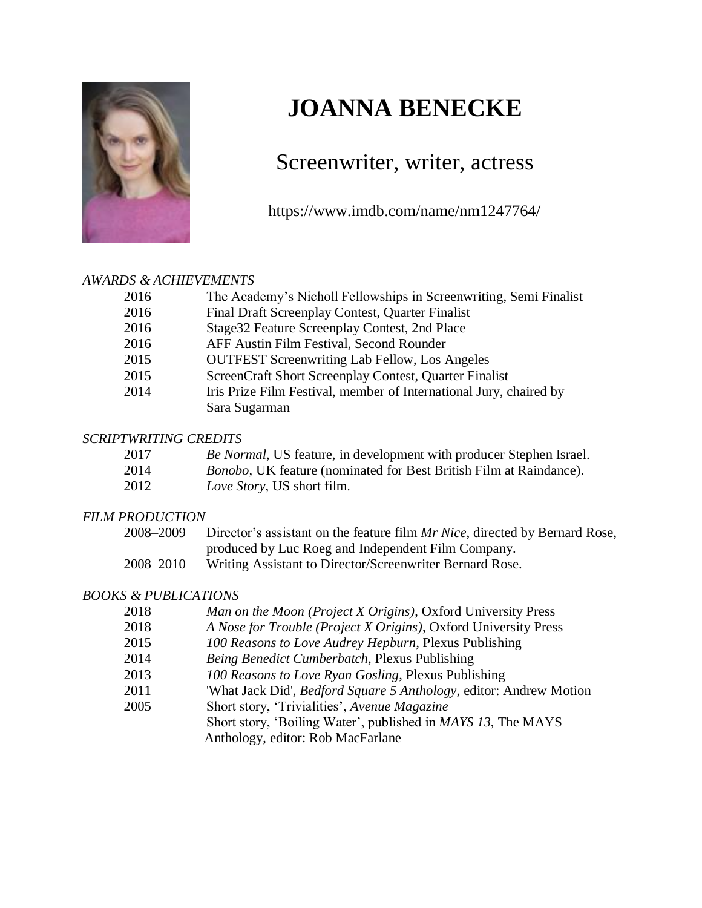

# **JOANNA BENECKE**

### Screenwriter, writer, actress

https://www.imdb.com/name/nm1247764/

#### *AWARDS & ACHIEVEMENTS*

| 2016 | The Academy's Nicholl Fellowships in Screenwriting, Semi Finalist  |
|------|--------------------------------------------------------------------|
| 2016 | Final Draft Screenplay Contest, Quarter Finalist                   |
| 2016 | Stage 32 Feature Screenplay Contest, 2nd Place                     |
| 2016 | AFF Austin Film Festival, Second Rounder                           |
| 2015 | <b>OUTFEST Screenwriting Lab Fellow, Los Angeles</b>               |
| 2015 | ScreenCraft Short Screenplay Contest, Quarter Finalist             |
| 2014 | Iris Prize Film Festival, member of International Jury, chaired by |
|      | Sara Sugarman                                                      |

#### *SCRIPTWRITING CREDITS*

| 2017 | <i>Be Normal</i> , US feature, in development with producer Stephen Israel. |  |  |  |
|------|-----------------------------------------------------------------------------|--|--|--|
|      |                                                                             |  |  |  |

- 2014 *Bonobo*, UK feature (nominated for Best British Film at Raindance).
- 2012 *Love Story*, US short film.

#### *FILM PRODUCTION*

| 2008–2009 | Director's assistant on the feature film Mr Nice, directed by Bernard Rose, |
|-----------|-----------------------------------------------------------------------------|
|           | produced by Luc Roeg and Independent Film Company.                          |
| 2008–2010 | Writing Assistant to Director/Screenwriter Bernard Rose.                    |

#### *BOOKS & PUBLICATIONS*

| 2018 | Man on the Moon (Project X Origins), Oxford University Press               |
|------|----------------------------------------------------------------------------|
| 2018 | A Nose for Trouble (Project X Origins), Oxford University Press            |
| 2015 | 100 Reasons to Love Audrey Hepburn, Plexus Publishing                      |
| 2014 | Being Benedict Cumberbatch, Plexus Publishing                              |
| 2013 | 100 Reasons to Love Ryan Gosling, Plexus Publishing                        |
| 2011 | 'What Jack Did', <i>Bedford Square 5 Anthology</i> , editor: Andrew Motion |

- 2005 Short story, 'Trivialities', *Avenue Magazine*
	- Short story, 'Boiling Water', published in *MAYS 13*, The MAYS

Anthology, editor: Rob MacFarlane